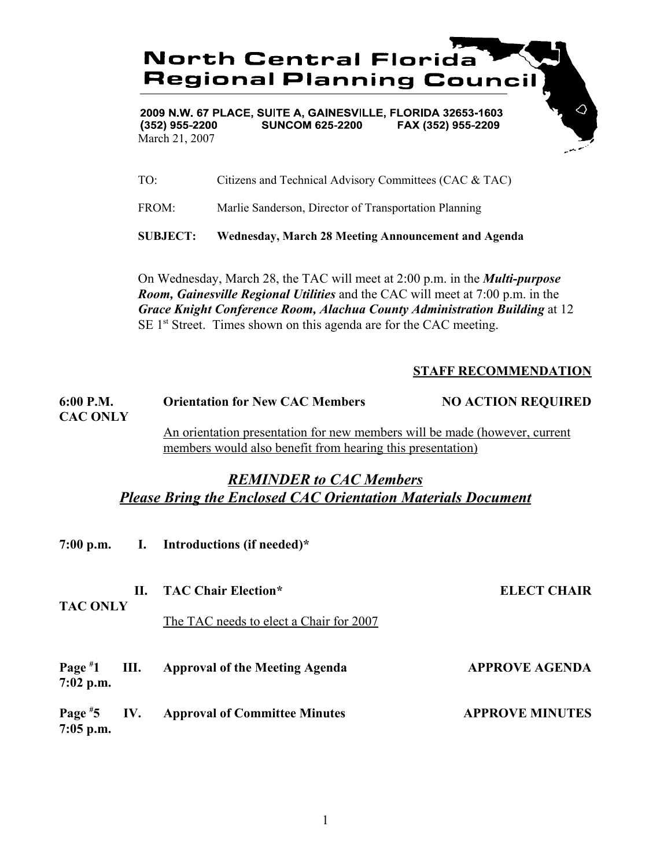

2009 N.W. 67 PLACE, SUITE A, GAINESVILLE, FLORIDA 32653-1603  $(352)$  955-2200 **SUNCOM 625-2200** FAX (352) 955-2209 March 21, 2007

- TO: Citizens and Technical Advisory Committees (CAC & TAC)
- FROM: Marlie Sanderson, Director of Transportation Planning

**SUBJECT: Wednesday, March 28 Meeting Announcement and Agenda**

On Wednesday, March 28, the TAC will meet at 2:00 p.m. in the *Multi-purpose Room, Gainesville Regional Utilities* and the CAC will meet at 7:00 p.m. in the *Grace Knight Conference Room, Alachua County Administration Building* at 12 SE 1<sup>st</sup> Street. Times shown on this agenda are for the CAC meeting.

## **STAFF RECOMMENDATION**

| 6:00 P.M.       | <b>Orientation for New CAC Members</b>                                     | <b>NO ACTION REQUIRED</b> |
|-----------------|----------------------------------------------------------------------------|---------------------------|
| <b>CAC ONLY</b> |                                                                            |                           |
|                 | An orientation presentation for new members will be made (however, current |                           |
|                 | members would also benefit from hearing this presentation)                 |                           |

## *REMINDER to CAC Members Please Bring the Enclosed CAC Orientation Materials Document*

|                              |    | 7:00 p.m. I. Introductions (if needed)*                               |                        |
|------------------------------|----|-----------------------------------------------------------------------|------------------------|
| <b>TAC ONLY</b>              | П. | <b>TAC Chair Election*</b><br>The TAC needs to elect a Chair for 2007 | <b>ELECT CHAIR</b>     |
| $7:02$ p.m.                  |    | Page #1 III. Approval of the Meeting Agenda                           | <b>APPROVE AGENDA</b>  |
| Page $*5$ IV.<br>$7:05$ p.m. |    | <b>Approval of Committee Minutes</b>                                  | <b>APPROVE MINUTES</b> |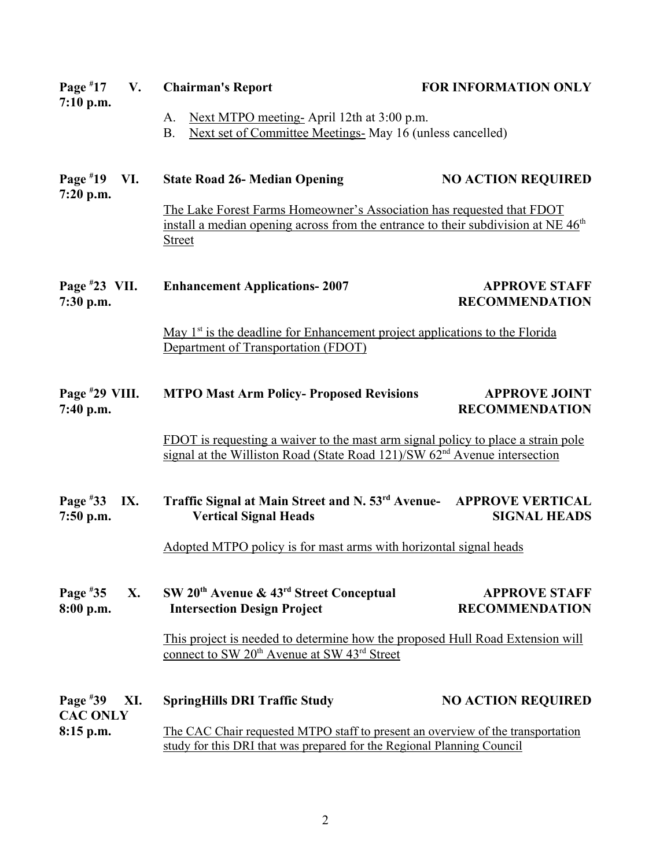| Page $*17$<br>V.                     | <b>Chairman's Report</b>                                                                                                                                                                | <b>FOR INFORMATION ONLY</b>                    |  |
|--------------------------------------|-----------------------------------------------------------------------------------------------------------------------------------------------------------------------------------------|------------------------------------------------|--|
| $7:10$ p.m.                          | Next MTPO meeting-April 12th at 3:00 p.m.<br>A.<br>Next set of Committee Meetings- May 16 (unless cancelled)<br><b>B.</b>                                                               |                                                |  |
| Page $*19$<br>VI.<br>7:20 p.m.       | <b>State Road 26- Median Opening</b>                                                                                                                                                    | <b>NO ACTION REQUIRED</b>                      |  |
|                                      | The Lake Forest Farms Homeowner's Association has requested that FDOT<br>install a median opening across from the entrance to their subdivision at NE 46 <sup>th</sup><br><b>Street</b> |                                                |  |
| Page $*23$ VII.<br>7:30 p.m.         | <b>Enhancement Applications-2007</b>                                                                                                                                                    | <b>APPROVE STAFF</b><br><b>RECOMMENDATION</b>  |  |
|                                      | May 1 <sup>st</sup> is the deadline for Enhancement project applications to the Florida<br>Department of Transportation (FDOT)                                                          |                                                |  |
| Page $*29$ VIII.<br>7:40 p.m.        | <b>MTPO Mast Arm Policy- Proposed Revisions</b>                                                                                                                                         | <b>APPROVE JOINT</b><br><b>RECOMMENDATION</b>  |  |
|                                      | FDOT is requesting a waiver to the mast arm signal policy to place a strain pole<br>signal at the Williston Road (State Road 121)/SW $62nd$ Avenue intersection                         |                                                |  |
| Page #33<br>IX.<br>7:50 p.m.         | Traffic Signal at Main Street and N. 53rd Avenue-<br><b>Vertical Signal Heads</b>                                                                                                       | <b>APPROVE VERTICAL</b><br><b>SIGNAL HEADS</b> |  |
|                                      | Adopted MTPO policy is for mast arms with horizontal signal heads                                                                                                                       |                                                |  |
| Page $*35$<br>X.<br>8:00 p.m.        | SW 20 <sup>th</sup> Avenue & 43 <sup>rd</sup> Street Conceptual<br><b>Intersection Design Project</b>                                                                                   | <b>APPROVE STAFF</b><br><b>RECOMMENDATION</b>  |  |
|                                      | This project is needed to determine how the proposed Hull Road Extension will<br>connect to SW 20 <sup>th</sup> Avenue at SW 43 <sup>rd</sup> Street                                    |                                                |  |
| Page $*39$<br>XI.<br><b>CAC ONLY</b> | <b>SpringHills DRI Traffic Study</b>                                                                                                                                                    | <b>NO ACTION REQUIRED</b>                      |  |
| 8:15 p.m.                            | The CAC Chair requested MTPO staff to present an overview of the transportation<br>study for this DRI that was prepared for the Regional Planning Council                               |                                                |  |